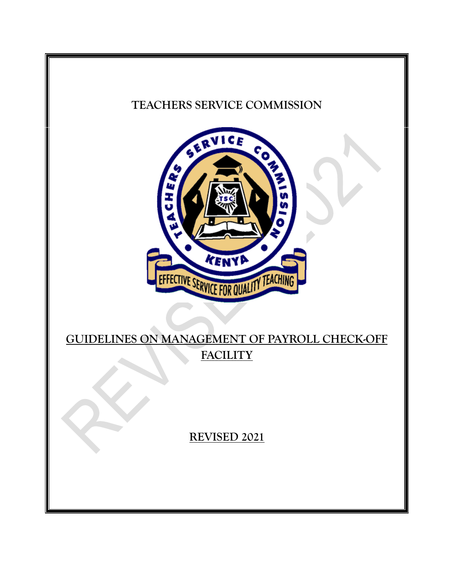# **TEACHERS SERVICE COMMISSION**



# **GUIDELINES ON MANAGEMENT OF PAYROLL CHECK-OFF FACILITY**

**REVISED 2021**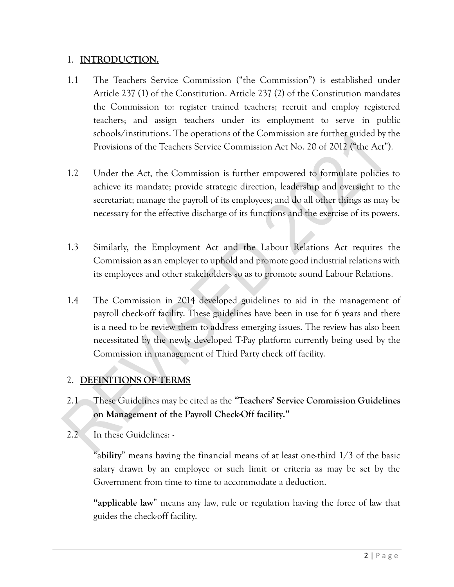#### 1. **INTRODUCTION.**

- 1.1 The Teachers Service Commission ("the Commission") is established under Article 237 (1) of the Constitution. Article 237 (2) of the Constitution mandates the Commission to: register trained teachers; recruit and employ registered teachers; and assign teachers under its employment to serve in public schools/institutions. The operations of the Commission are further guided by the Provisions of the Teachers Service Commission Act No. 20 of 2012 ("the Act").
- 1.2 Under the Act, the Commission is further empowered to formulate policies to achieve its mandate; provide strategic direction, leadership and oversight to the secretariat; manage the payroll of its employees; and do all other things as may be necessary for the effective discharge of its functions and the exercise of its powers.
- 1.3 Similarly, the Employment Act and the Labour Relations Act requires the Commission as an employer to uphold and promote good industrial relations with its employees and other stakeholders so as to promote sound Labour Relations.
- 1.4 The Commission in 2014 developed guidelines to aid in the management of payroll check-off facility. These guidelines have been in use for 6 years and there is a need to be review them to address emerging issues. The review has also been necessitated by the newly developed T-Pay platform currently being used by the Commission in management of Third Party check off facility.

## 2. **DEFINITIONS OF TERMS**

- 2.1 These Guidelines may be cited as the "**Teachers' Service Commission Guidelines on Management of the Payroll Check-Off facility."**
- 2.2 In these Guidelines: -

"a**bility**" means having the financial means of at least one-third 1/3 of the basic salary drawn by an employee or such limit or criteria as may be set by the Government from time to time to accommodate a deduction.

**"applicable law**" means any law, rule or regulation having the force of law that guides the check-off facility.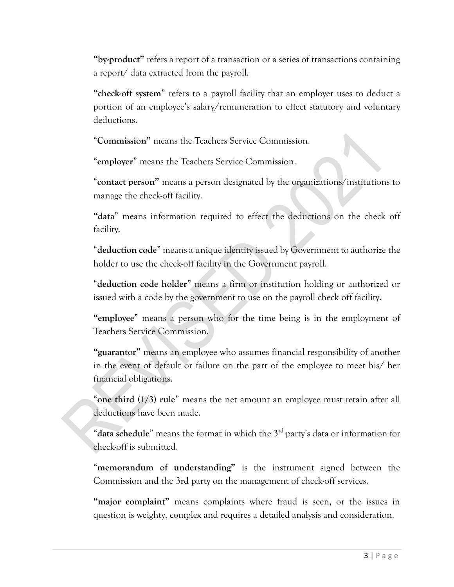**"by-product"** refers a report of a transaction or a series of transactions containing a report/ data extracted from the payroll.

**"check-off system**" refers to a payroll facility that an employer uses to deduct a portion of an employee's salary/remuneration to effect statutory and voluntary deductions.

"**Commission"** means the Teachers Service Commission.

"**employer**" means the Teachers Service Commission.

"**contact person"** means a person designated by the organizations/institutions to manage the check-off facility.

**"data**" means information required to effect the deductions on the check off facility.

"**deduction code**" means a unique identity issued by Government to authorize the holder to use the check-off facility in the Government payroll.

"**deduction code holder**" means a firm or institution holding or authorized or issued with a code by the government to use on the payroll check off facility.

**"employee**" means a person who for the time being is in the employment of Teachers Service Commission.

**"guarantor"** means an employee who assumes financial responsibility of another in the event of default or failure on the part of the employee to meet his/ her financial obligations.

"**one third (1/3) rule**" means the net amount an employee must retain after all deductions have been made.

"**data schedule**" means the format in which the 3rd party's data or information for check-off is submitted.

"**memorandum of understanding"** is the instrument signed between the Commission and the 3rd party on the management of check-off services.

**"major complaint"** means complaints where fraud is seen, or the issues in question is weighty, complex and requires a detailed analysis and consideration.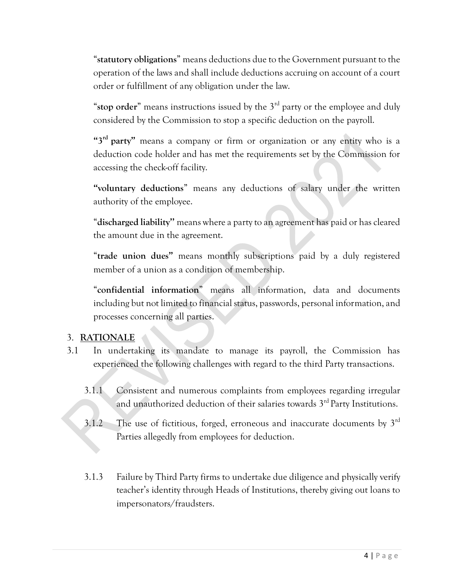"**statutory obligations**" means deductions due to the Government pursuant to the operation of the laws and shall include deductions accruing on account of a court order or fulfillment of any obligation under the law.

"**stop order**" means instructions issued by the 3rd party or the employee and duly considered by the Commission to stop a specific deduction on the payroll.

**"3rd party"** means a company or firm or organization or any entity who is a deduction code holder and has met the requirements set by the Commission for accessing the check-off facility.

**"voluntary deductions**" means any deductions of salary under the written authority of the employee.

"**discharged liability''** means where a party to an agreement has paid or has cleared the amount due in the agreement.

"**trade union dues"** means monthly subscriptions paid by a duly registered member of a union as a condition of membership.

"**confidential information**" means all information, data and documents including but not limited to financial status, passwords, personal information, and processes concerning all parties.

## 3. **RATIONALE**

- 3.1 In undertaking its mandate to manage its payroll, the Commission has experienced the following challenges with regard to the third Party transactions.
	- 3.1.1 Consistent and numerous complaints from employees regarding irregular and unauthorized deduction of their salaries towards 3<sup>rd</sup> Party Institutions.
	- $3.1.2$  The use of fictitious, forged, erroneous and inaccurate documents by  $3<sup>rd</sup>$ Parties allegedly from employees for deduction.
	- 3.1.3 Failure by Third Party firms to undertake due diligence and physically verify teacher's identity through Heads of Institutions, thereby giving out loans to impersonators/fraudsters.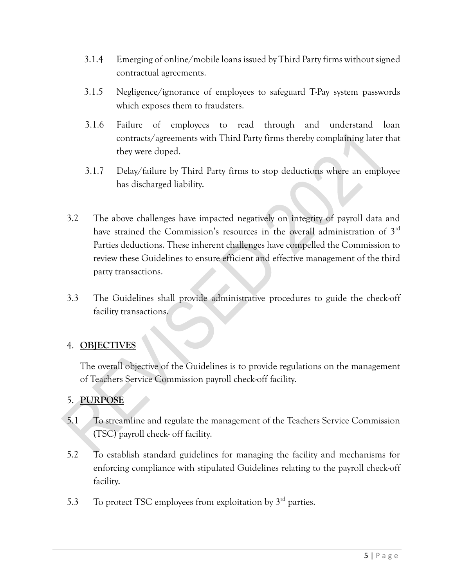- 3.1.4 Emerging of online/mobile loans issued by Third Party firms without signed contractual agreements.
- 3.1.5 Negligence/ignorance of employees to safeguard T-Pay system passwords which exposes them to fraudsters.
- 3.1.6 Failure of employees to read through and understand loan contracts/agreements with Third Party firms thereby complaining later that they were duped.
- 3.1.7 Delay/failure by Third Party firms to stop deductions where an employee has discharged liability.
- 3.2 The above challenges have impacted negatively on integrity of payroll data and have strained the Commission's resources in the overall administration of 3rd Parties deductions. These inherent challenges have compelled the Commission to review these Guidelines to ensure efficient and effective management of the third party transactions.
- 3.3 The Guidelines shall provide administrative procedures to guide the check-off facility transactions.

## 4. **OBJECTIVES**

The overall objective of the Guidelines is to provide regulations on the management of Teachers Service Commission payroll check-off facility.

## 5. **PURPOSE**

- 5.1 To streamline and regulate the management of the Teachers Service Commission (TSC) payroll check- off facility.
- 5.2 To establish standard guidelines for managing the facility and mechanisms for enforcing compliance with stipulated Guidelines relating to the payroll check-off facility.
- 5.3 To protect TSC employees from exploitation by  $3<sup>rd</sup>$  parties.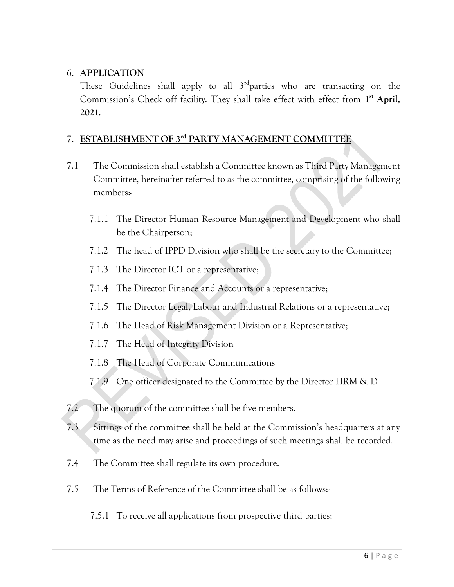### 6. **APPLICATION**

These Guidelines shall apply to all  $3^{rd}$ parties who are transacting on the Commission's Check off facility. They shall take effect with effect from 1<sup>st</sup> April, **2021.**

# 7. **ESTABLISHMENT OF 3rd PARTY MANAGEMENT COMMITTEE**

- 7.1 The Commission shall establish a Committee known as Third Party Management Committee, hereinafter referred to as the committee, comprising of the following members:-
	- 7.1.1 The Director Human Resource Management and Development who shall be the Chairperson;
	- 7.1.2 The head of IPPD Division who shall be the secretary to the Committee;
	- 7.1.3 The Director ICT or a representative;
	- 7.1.4 The Director Finance and Accounts or a representative;
	- 7.1.5 The Director Legal, Labour and Industrial Relations or a representative;
	- 7.1.6 The Head of Risk Management Division or a Representative;
	- 7.1.7 The Head of Integrity Division
	- 7.1.8 The Head of Corporate Communications
	- 7.1.9 One officer designated to the Committee by the Director HRM & D
- 7.2 The quorum of the committee shall be five members.
- 7.3 Sittings of the committee shall be held at the Commission's headquarters at any time as the need may arise and proceedings of such meetings shall be recorded.
- 7.4 The Committee shall regulate its own procedure.
- 7.5 The Terms of Reference of the Committee shall be as follows:-
	- 7.5.1 To receive all applications from prospective third parties;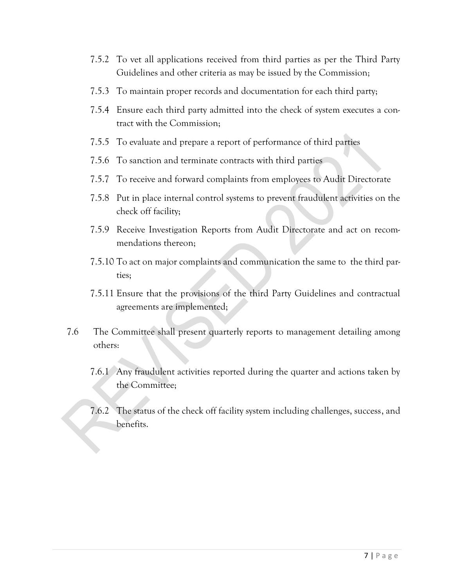- 7.5.2 To vet all applications received from third parties as per the Third Party Guidelines and other criteria as may be issued by the Commission;
- 7.5.3 To maintain proper records and documentation for each third party;
- 7.5.4 Ensure each third party admitted into the check of system executes a contract with the Commission;
- 7.5.5 To evaluate and prepare a report of performance of third parties
- 7.5.6 To sanction and terminate contracts with third parties
- 7.5.7 To receive and forward complaints from employees to Audit Directorate
- 7.5.8 Put in place internal control systems to prevent fraudulent activities on the check off facility;
- 7.5.9 Receive Investigation Reports from Audit Directorate and act on recommendations thereon;
- 7.5.10 To act on major complaints and communication the same to the third parties;
- 7.5.11 Ensure that the provisions of the third Party Guidelines and contractual agreements are implemented;
- 7.6 The Committee shall present quarterly reports to management detailing among others:
	- 7.6.1 Any fraudulent activities reported during the quarter and actions taken by the Committee;
	- 7.6.2 The status of the check off facility system including challenges, success, and benefits.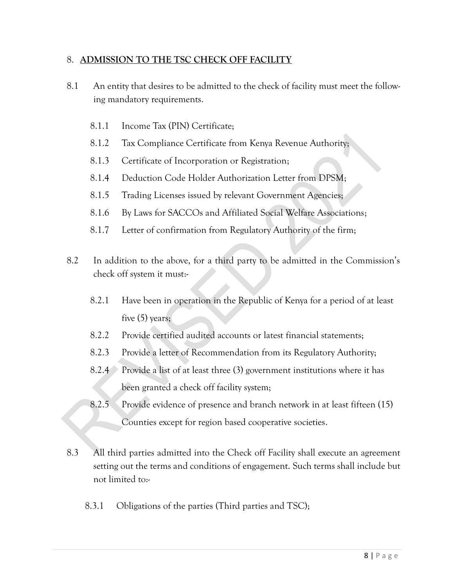#### 8. **ADMISSION TO THE TSC CHECK OFF FACILITY**

- 8.1 An entity that desires to be admitted to the check of facility must meet the following mandatory requirements.
	- 8.1.1 Income Tax (PIN) Certificate;
	- 8.1.2 Tax Compliance Certificate from Kenya Revenue Authority;
	- 8.1.3 Certificate of Incorporation or Registration;
	- 8.1.4 Deduction Code Holder Authorization Letter from DPSM;
	- 8.1.5 Trading Licenses issued by relevant Government Agencies;
	- 8.1.6 By Laws for SACCOs and Affiliated Social Welfare Associations;
	- 8.1.7 Letter of confirmation from Regulatory Authority of the firm;
- 8.2 In addition to the above, for a third party to be admitted in the Commission's check off system it must:-
	- 8.2.1 Have been in operation in the Republic of Kenya for a period of at least five (5) years;
	- 8.2.2 Provide certified audited accounts or latest financial statements;
	- 8.2.3 Provide a letter of Recommendation from its Regulatory Authority;
	- 8.2.4 Provide a list of at least three (3) government institutions where it has been granted a check off facility system;
	- 8.2.5 Provide evidence of presence and branch network in at least fifteen (15) Counties except for region based cooperative societies.
- 8.3 All third parties admitted into the Check off Facility shall execute an agreement setting out the terms and conditions of engagement. Such terms shall include but not limited to:-
	- 8.3.1 Obligations of the parties (Third parties and TSC);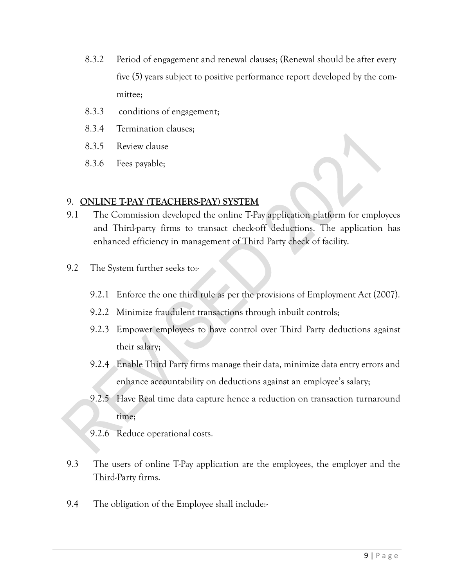- 8.3.2 Period of engagement and renewal clauses; (Renewal should be after every five (5) years subject to positive performance report developed by the committee;
- 8.3.3 conditions of engagement;
- 8.3.4 Termination clauses;
- 8.3.5 Review clause
- 8.3.6 Fees payable;

#### 9. **ONLINE T-PAY (TEACHERS-PAY) SYSTEM**

- 9.1 The Commission developed the online T-Pay application platform for employees and Third-party firms to transact check-off deductions. The application has enhanced efficiency in management of Third Party check of facility.
- 9.2 The System further seeks to:-
	- 9.2.1 Enforce the one third rule as per the provisions of Employment Act (2007).
	- 9.2.2 Minimize fraudulent transactions through inbuilt controls;
	- 9.2.3 Empower employees to have control over Third Party deductions against their salary;
	- 9.2.4 Enable Third Party firms manage their data, minimize data entry errors and enhance accountability on deductions against an employee's salary;
	- 9.2.5 Have Real time data capture hence a reduction on transaction turnaround time;
	- 9.2.6 Reduce operational costs.
- 9.3 The users of online T-Pay application are the employees, the employer and the Third-Party firms.
- 9.4 The obligation of the Employee shall include:-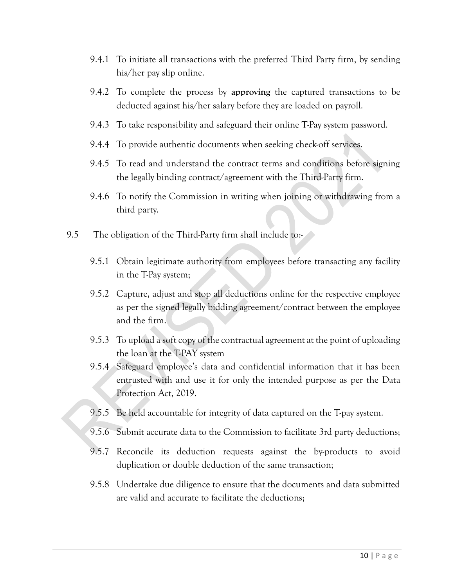- 9.4.1 To initiate all transactions with the preferred Third Party firm, by sending his/her pay slip online.
- 9.4.2 To complete the process by **approving** the captured transactions to be deducted against his/her salary before they are loaded on payroll.
- 9.4.3 To take responsibility and safeguard their online T-Pay system password.
- 9.4.4 To provide authentic documents when seeking check-off services.
- 9.4.5 To read and understand the contract terms and conditions before signing the legally binding contract/agreement with the Third-Party firm.
- 9.4.6 To notify the Commission in writing when joining or withdrawing from a third party.
- 9.5 The obligation of the Third-Party firm shall include to:-
	- 9.5.1 Obtain legitimate authority from employees before transacting any facility in the T-Pay system;
	- 9.5.2 Capture, adjust and stop all deductions online for the respective employee as per the signed legally bidding agreement/contract between the employee and the firm.
	- 9.5.3 To upload a soft copy of the contractual agreement at the point of uploading the loan at the T-PAY system
	- 9.5.4 Safeguard employee's data and confidential information that it has been entrusted with and use it for only the intended purpose as per the Data Protection Act, 2019.
	- 9.5.5 Be held accountable for integrity of data captured on the T-pay system.
	- 9.5.6 Submit accurate data to the Commission to facilitate 3rd party deductions;
	- 9.5.7 Reconcile its deduction requests against the by-products to avoid duplication or double deduction of the same transaction;
	- 9.5.8 Undertake due diligence to ensure that the documents and data submitted are valid and accurate to facilitate the deductions;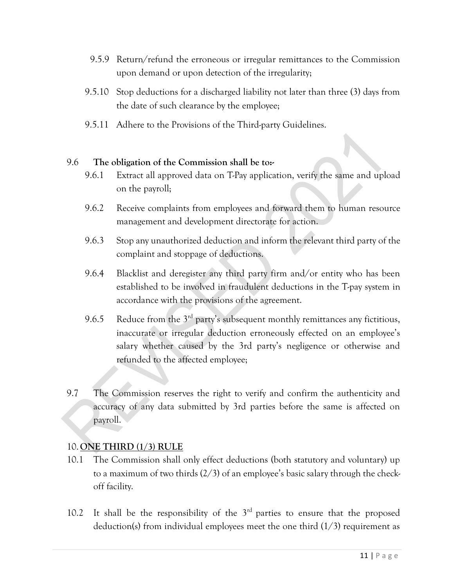- 9.5.9 Return/refund the erroneous or irregular remittances to the Commission upon demand or upon detection of the irregularity;
- 9.5.10 Stop deductions for a discharged liability not later than three (3) days from the date of such clearance by the employee;
- 9.5.11 Adhere to the Provisions of the Third-party Guidelines.

#### 9.6 **The obligation of the Commission shall be to:-**

- 9.6.1 Extract all approved data on T-Pay application, verify the same and upload on the payroll;
- 9.6.2 Receive complaints from employees and forward them to human resource management and development directorate for action.
- 9.6.3 Stop any unauthorized deduction and inform the relevant third party of the complaint and stoppage of deductions.
- 9.6.4 Blacklist and deregister any third party firm and/or entity who has been established to be involved in fraudulent deductions in the T-pay system in accordance with the provisions of the agreement.
- 9.6.5 Reduce from the  $3<sup>rd</sup>$  party's subsequent monthly remittances any fictitious, inaccurate or irregular deduction erroneously effected on an employee's salary whether caused by the 3rd party's negligence or otherwise and refunded to the affected employee;
- 9.7 The Commission reserves the right to verify and confirm the authenticity and accuracy of any data submitted by 3rd parties before the same is affected on payroll.

#### 10.**ONE THIRD (1/3) RULE**

- 10.1 The Commission shall only effect deductions (both statutory and voluntary) up to a maximum of two thirds (2/3) of an employee's basic salary through the checkoff facility.
- 10.2 It shall be the responsibility of the  $3<sup>rd</sup>$  parties to ensure that the proposed deduction(s) from individual employees meet the one third (1/3) requirement as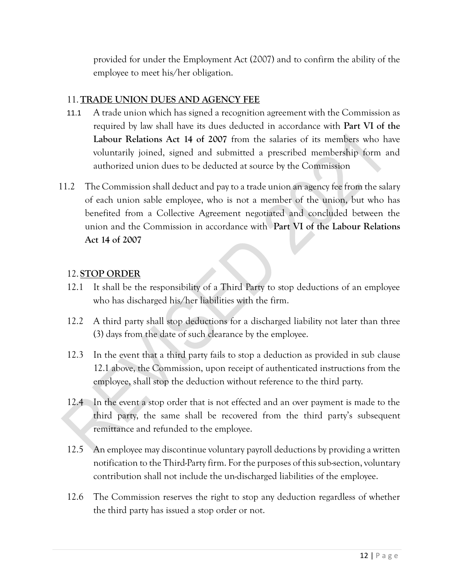provided for under the Employment Act (2007) and to confirm the ability of the employee to meet his/her obligation.

### 11.**TRADE UNION DUES AND AGENCY FEE**

- 11.1 A trade union which has signed a recognition agreement with the Commission as required by law shall have its dues deducted in accordance with **Part VI of the Labour Relations Act 14 of 2007** from the salaries of its members who have voluntarily joined, signed and submitted a prescribed membership form and authorized union dues to be deducted at source by the Commission
- 11.2 The Commission shall deduct and pay to a trade union an agency fee from the salary of each union sable employee, who is not a member of the union, but who has benefited from a Collective Agreement negotiated and concluded between the union and the Commission in accordance with **Part VI of the Labour Relations Act 14 of 2007**

#### 12. **STOP ORDER**

- 12.1 It shall be the responsibility of a Third Party to stop deductions of an employee who has discharged his/her liabilities with the firm.
- 12.2 A third party shall stop deductions for a discharged liability not later than three (3) days from the date of such clearance by the employee.
- 12.3 In the event that a third party fails to stop a deduction as provided in sub clause 12.1 above, the Commission, upon receipt of authenticated instructions from the employee, shall stop the deduction without reference to the third party.
- 12.4 In the event a stop order that is not effected and an over payment is made to the third party, the same shall be recovered from the third party's subsequent remittance and refunded to the employee.
- 12.5 An employee may discontinue voluntary payroll deductions by providing a written notification to the Third-Party firm. For the purposes of this sub-section, voluntary contribution shall not include the un-discharged liabilities of the employee.
- 12.6 The Commission reserves the right to stop any deduction regardless of whether the third party has issued a stop order or not.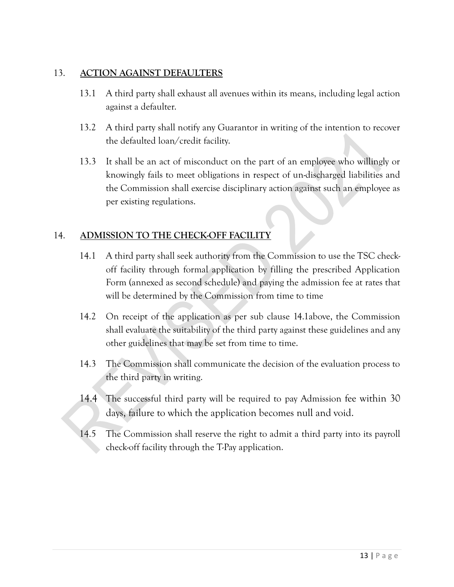#### 13. **ACTION AGAINST DEFAULTERS**

- 13.1 A third party shall exhaust all avenues within its means, including legal action against a defaulter.
- 13.2 A third party shall notify any Guarantor in writing of the intention to recover the defaulted loan/credit facility.
- 13.3 It shall be an act of misconduct on the part of an employee who willingly or knowingly fails to meet obligations in respect of un-discharged liabilities and the Commission shall exercise disciplinary action against such an employee as per existing regulations.

## 14. **ADMISSION TO THE CHECK-OFF FACILITY**

- 14.1 A third party shall seek authority from the Commission to use the TSC checkoff facility through formal application by filling the prescribed Application Form (annexed as second schedule) and paying the admission fee at rates that will be determined by the Commission from time to time
- 14.2 On receipt of the application as per sub clause 14.1above, the Commission shall evaluate the suitability of the third party against these guidelines and any other guidelines that may be set from time to time.
- 14.3 The Commission shall communicate the decision of the evaluation process to the third party in writing.
- 14.4 The successful third party will be required to pay Admission fee within 30 days, failure to which the application becomes null and void.
- 14.5 The Commission shall reserve the right to admit a third party into its payroll check-off facility through the T-Pay application.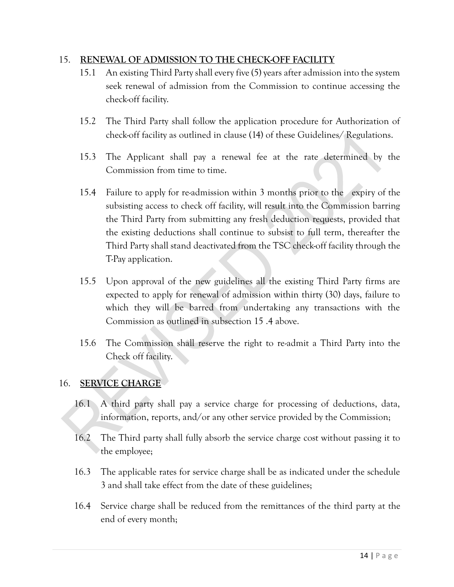#### 15. **RENEWAL OF ADMISSION TO THE CHECK-OFF FACILITY**

- 15.1 An existing Third Party shall every five (5) years after admission into the system seek renewal of admission from the Commission to continue accessing the check-off facility.
- 15.2 The Third Party shall follow the application procedure for Authorization of check-off facility as outlined in clause (14) of these Guidelines/ Regulations.
- 15.3 The Applicant shall pay a renewal fee at the rate determined by the Commission from time to time.
- 15.4 Failure to apply for re-admission within 3 months prior to the expiry of the subsisting access to check off facility, will result into the Commission barring the Third Party from submitting any fresh deduction requests, provided that the existing deductions shall continue to subsist to full term, thereafter the Third Party shall stand deactivated from the TSC check-off facility through the T-Pay application.
- 15.5 Upon approval of the new guidelines all the existing Third Party firms are expected to apply for renewal of admission within thirty (30) days, failure to which they will be barred from undertaking any transactions with the Commission as outlined in subsection 15 .4 above.
- 15.6 The Commission shall reserve the right to re-admit a Third Party into the Check off facility.

## 16. **SERVICE CHARGE**

- 16.1 A third party shall pay a service charge for processing of deductions, data, information, reports, and/or any other service provided by the Commission;
- 16.2 The Third party shall fully absorb the service charge cost without passing it to the employee;
- 16.3 The applicable rates for service charge shall be as indicated under the schedule 3 and shall take effect from the date of these guidelines;
- 16.4 Service charge shall be reduced from the remittances of the third party at the end of every month;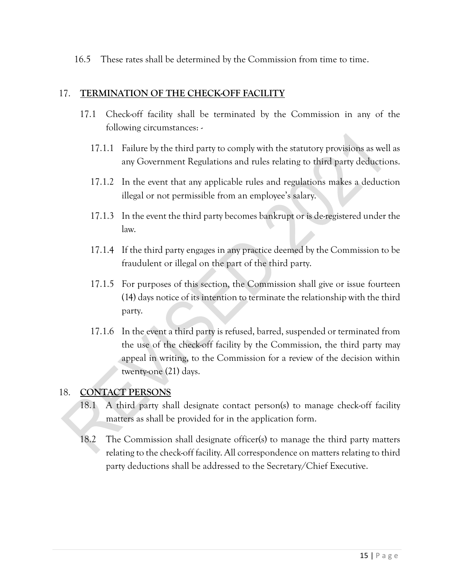16.5 These rates shall be determined by the Commission from time to time.

#### 17. **TERMINATION OF THE CHECK-OFF FACILITY**

- 17.1 Check-off facility shall be terminated by the Commission in any of the following circumstances: -
	- 17.1.1 Failure by the third party to comply with the statutory provisions as well as any Government Regulations and rules relating to third party deductions.
	- 17.1.2 In the event that any applicable rules and regulations makes a deduction illegal or not permissible from an employee's salary.
	- 17.1.3 In the event the third party becomes bankrupt or is de-registered under the law.
	- 17.1.4 If the third party engages in any practice deemed by the Commission to be fraudulent or illegal on the part of the third party.
	- 17.1.5 For purposes of this section, the Commission shall give or issue fourteen (14) days notice of its intention to terminate the relationship with the third party.
	- 17.1.6 In the event a third party is refused, barred, suspended or terminated from the use of the check-off facility by the Commission, the third party may appeal in writing, to the Commission for a review of the decision within twenty-one (21) days.

#### 18. **CONTACT PERSONS**

- 18.1 A third party shall designate contact person(s) to manage check-off facility matters as shall be provided for in the application form.
- 18.2 The Commission shall designate officer(s) to manage the third party matters relating to the check-off facility. All correspondence on matters relating to third party deductions shall be addressed to the Secretary/Chief Executive.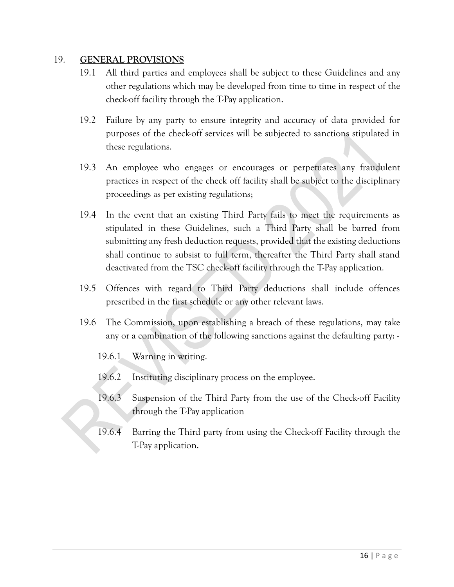#### 19. **GENERAL PROVISIONS**

- 19.1 All third parties and employees shall be subject to these Guidelines and any other regulations which may be developed from time to time in respect of the check-off facility through the T-Pay application.
- 19.2 Failure by any party to ensure integrity and accuracy of data provided for purposes of the check-off services will be subjected to sanctions stipulated in these regulations.
- 19.3 An employee who engages or encourages or perpetuates any fraudulent practices in respect of the check off facility shall be subject to the disciplinary proceedings as per existing regulations;
- 19.4 In the event that an existing Third Party fails to meet the requirements as stipulated in these Guidelines, such a Third Party shall be barred from submitting any fresh deduction requests, provided that the existing deductions shall continue to subsist to full term, thereafter the Third Party shall stand deactivated from the TSC check-off facility through the T-Pay application.
- 19.5 Offences with regard to Third Party deductions shall include offences prescribed in the first schedule or any other relevant laws.
- 19.6 The Commission, upon establishing a breach of these regulations, may take any or a combination of the following sanctions against the defaulting party: -
	- 19.6.1 Warning in writing.
	- 19.6.2 Instituting disciplinary process on the employee.
	- 19.6.3 Suspension of the Third Party from the use of the Check-off Facility through the T-Pay application
	- 19.6.4 Barring the Third party from using the Check-off Facility through the T-Pay application.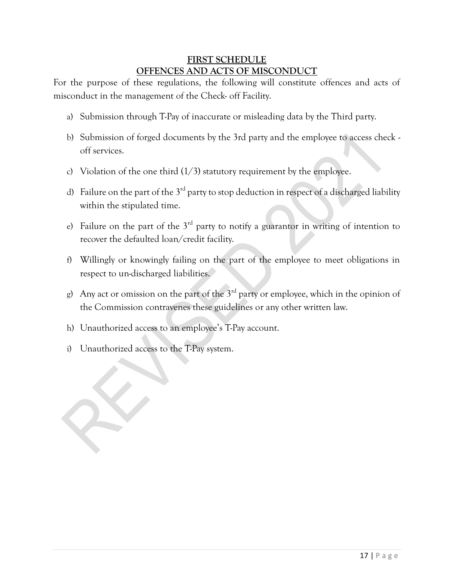## **FIRST SCHEDULE OFFENCES AND ACTS OF MISCONDUCT**

For the purpose of these regulations, the following will constitute offences and acts of misconduct in the management of the Check- off Facility.

- a) Submission through T-Pay of inaccurate or misleading data by the Third party.
- b) Submission of forged documents by the 3rd party and the employee to access check off services.
- c) Violation of the one third  $(1/3)$  statutory requirement by the employee.
- d) Failure on the part of the  $3^{rd}$  party to stop deduction in respect of a discharged liability within the stipulated time.
- e) Failure on the part of the  $3<sup>rd</sup>$  party to notify a guarantor in writing of intention to recover the defaulted loan/credit facility.
- f) Willingly or knowingly failing on the part of the employee to meet obligations in respect to un-discharged liabilities.
- g) Any act or omission on the part of the  $3<sup>rd</sup>$  party or employee, which in the opinion of the Commission contravenes these guidelines or any other written law.
- h) Unauthorized access to an employee's T-Pay account.
- i) Unauthorized access to the T-Pay system.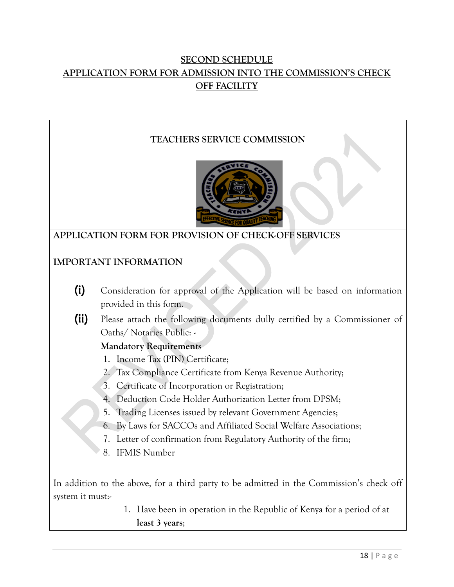## **SECOND SCHEDULE APPLICATION FORM FOR ADMISSION INTO THE COMMISSION'S CHECK OFF FACILITY**

## **TEACHERS SERVICE COMMISSION**



## **APPLICATION FORM FOR PROVISION OF CHECK-OFF SERVICES**

## **IMPORTANT INFORMATION**

- (i) Consideration for approval of the Application will be based on information provided in this form.
- (ii) Please attach the following documents dully certified by a Commissioner of Oaths/ Notaries Public: -

## **Mandatory Requirements**

- 1. Income Tax (PIN) Certificate;
- 2. Tax Compliance Certificate from Kenya Revenue Authority;
- 3. Certificate of Incorporation or Registration;
- 4. Deduction Code Holder Authorization Letter from DPSM;
- 5. Trading Licenses issued by relevant Government Agencies;
- 6. By Laws for SACCOs and Affiliated Social Welfare Associations;
- 7. Letter of confirmation from Regulatory Authority of the firm;
- 8. IFMIS Number

In addition to the above, for a third party to be admitted in the Commission's check off system it must:-

> 1. Have been in operation in the Republic of Kenya for a period of at **least 3 years**;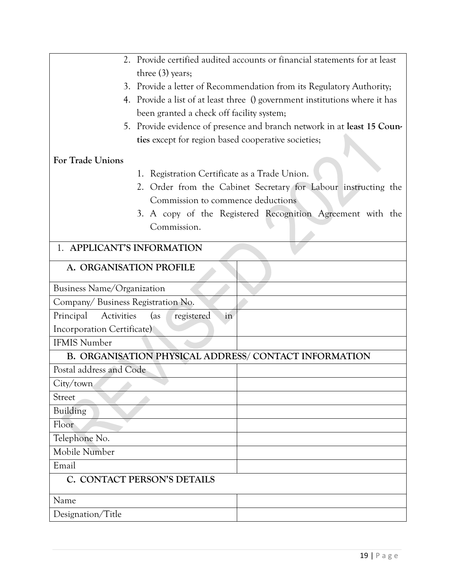| Provide certified audited accounts or financial statements for at least<br>2.  |
|--------------------------------------------------------------------------------|
| three $(3)$ years;                                                             |
| Provide a letter of Recommendation from its Regulatory Authority;<br>3.        |
| Provide a list of at least three () government institutions where it has<br>4. |
| been granted a check off facility system;                                      |
| 5. Provide evidence of presence and branch network in at least 15 Coun-        |
| ties except for region based cooperative societies;                            |
| <b>For Trade Unions</b>                                                        |
| 1. Registration Certificate as a Trade Union.                                  |
| 2. Order from the Cabinet Secretary for Labour instructing the                 |
| Commission to commence deductions                                              |
| 3. A copy of the Registered Recognition Agreement with the                     |
| Commission.                                                                    |
|                                                                                |
| 1. APPLICANT'S INFORMATION                                                     |
| A. ORGANISATION PROFILE                                                        |
| Business Name/Organization                                                     |
| Company/Business Registration No.                                              |
| Principal<br>Activities<br>$\left( \text{as} \right)$<br>registered<br>in      |
| Incorporation Certificate)                                                     |
| <b>IFMIS Number</b>                                                            |
| B. ORGANISATION PHYSICAL ADDRESS/CONTACT INFORMATION                           |
| Postal address and Code                                                        |
| City/town                                                                      |
| <b>Street</b>                                                                  |
| Building                                                                       |
| Floor                                                                          |
| Telephone No.                                                                  |
| Mobile Number                                                                  |
| Email                                                                          |
| C. CONTACT PERSON'S DETAILS                                                    |
| Name                                                                           |
| Designation/Title                                                              |
|                                                                                |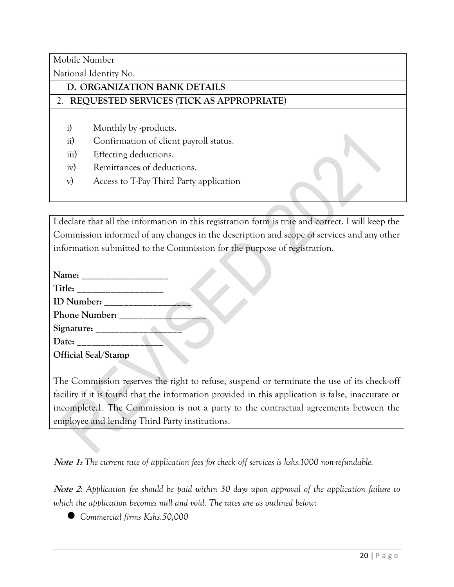| Mobile Number                  |                                                                                                                                                                   |  |
|--------------------------------|-------------------------------------------------------------------------------------------------------------------------------------------------------------------|--|
|                                | National Identity No.                                                                                                                                             |  |
|                                | D. ORGANIZATION BANK DETAILS                                                                                                                                      |  |
|                                | 2. REQUESTED SERVICES (TICK AS APPROPRIATE)                                                                                                                       |  |
| i)<br>ii)<br>iii)<br>iv)<br>V) | Monthly by -products.<br>Confirmation of client payroll status.<br>Effecting deductions.<br>Remittances of deductions.<br>Access to T-Pay Third Party application |  |

I declare that all the information in this registration form is true and correct. I will keep the Commission informed of any changes in the description and scope of services and any other information submitted to the Commission for the purpose of registration.

| <b>Official Seal/Stamp</b> |  |
|----------------------------|--|

The Commission reserves the right to refuse, suspend or terminate the use of its check-off facility if it is found that the information provided in this application is false, inaccurate or incomplete.1. The Commission is not a party to the contractual agreements between the employee and lending Third Party institutions.

**Note 1:** *The current rate of application fees for check off services is kshs.1000 non-refundable.*

**Note 2***: Application fee should be paid within 30 days upon approval of the application failure to which the application becomes null and void. The rates are as outlined below:*

*Commercial firms Kshs.50,000*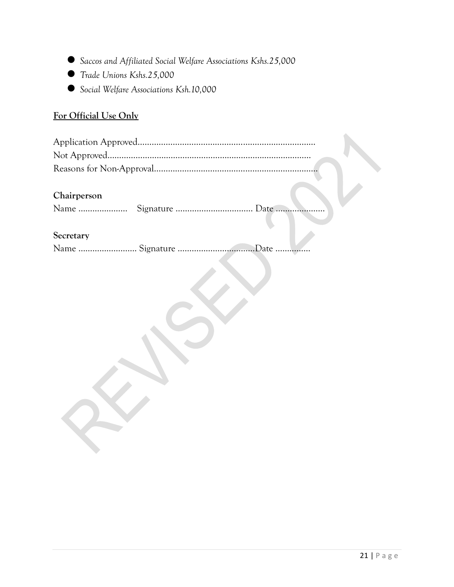- *Saccos and Affiliated Social Welfare Associations Kshs.25,000*
- *Trade Unions Kshs.25,000*
- *Social Welfare Associations Ksh.10,000*

## **For Official Use Only**

#### **Chairperson**

| Name |  |  |
|------|--|--|
|------|--|--|

#### **Secretary**

Name ……………………………… Signature …………………………………………… Date …………………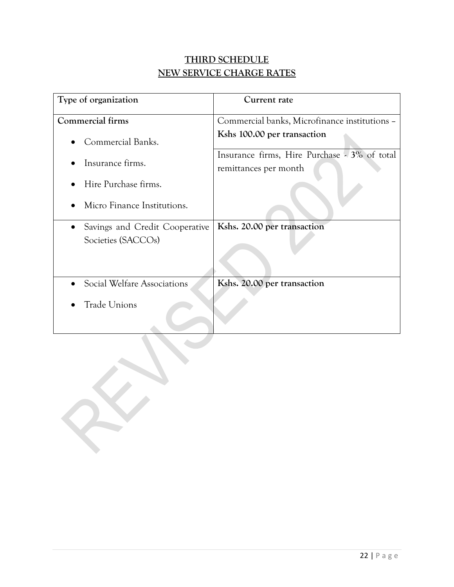## **THIRD SCHEDULE NEW SERVICE CHARGE RATES**

| Type of organization           | Current rate                                                          |
|--------------------------------|-----------------------------------------------------------------------|
| Commercial firms               | Commercial banks, Microfinance institutions -                         |
| Commercial Banks.              | Kshs 100.00 per transaction                                           |
| Insurance firms.               | Insurance firms, Hire Purchase - 3% of total<br>remittances per month |
| Hire Purchase firms.           |                                                                       |
| Micro Finance Institutions.    |                                                                       |
| Savings and Credit Cooperative | Kshs. 20.00 per transaction                                           |
| Societies (SACCOs)             |                                                                       |
| Social Welfare Associations    | Kshs. 20.00 per transaction                                           |
| <b>Trade Unions</b>            |                                                                       |

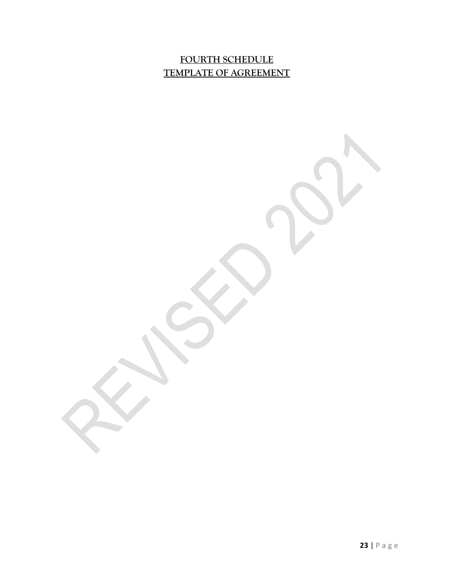## **FOURTH SCHEDULE TEMPLATE OF AGREEMENT**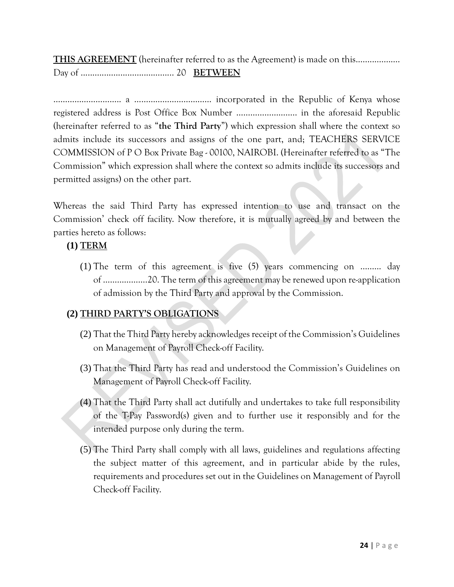**THIS AGREEMENT** (hereinafter referred to as the Agreement) is made on this................... Day of ........................................ 20 **BETWEEN**

……………………….. a …………………………… incorporated in the Republic of Kenya whose registered address is Post Office Box Number …………………….. in the aforesaid Republic (hereinafter referred to as "**the Third Party**") which expression shall where the context so admits include its successors and assigns of the one part, and; TEACHERS SERVICE COMMISSION of P O Box Private Bag - 00100, NAIROBI. (Hereinafter referred to as "The Commission" which expression shall where the context so admits include its successors and permitted assigns) on the other part.

Whereas the said Third Party has expressed intention to use and transact on the Commission' check off facility. Now therefore, it is mutually agreed by and between the parties hereto as follows:

#### **(1) TERM**

(1) The term of this agreement is five (5) years commencing on …..…. day of ……………….20. The term of this agreement may be renewed upon re-application of admission by the Third Party and approval by the Commission.

## **(2) THIRD PARTY'S OBLIGATIONS**

- (2) That the Third Party hereby acknowledges receipt of the Commission's Guidelines on Management of Payroll Check-off Facility.
- (3) That the Third Party has read and understood the Commission's Guidelines on Management of Payroll Check-off Facility.
- (4) That the Third Party shall act dutifully and undertakes to take full responsibility of the T-Pay Password(s) given and to further use it responsibly and for the intended purpose only during the term.
- (5) The Third Party shall comply with all laws, guidelines and regulations affecting the subject matter of this agreement, and in particular abide by the rules, requirements and procedures set out in the Guidelines on Management of Payroll Check-off Facility.